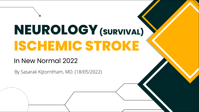# **NEUROLOGY (SURVIVAL)ISCHEMIC STROKE**

## In New Normal 2022

By Sasarak Kijtorntham, MD. (18/05/2022)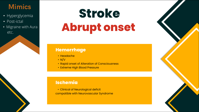# Mimics

- Hyperglycemia
- Post-ictal
- Migraine with Aura etc.

# **Stroke Abrupt onset**

### **Hemorrhage**

- Headache
- $\cdot$  N/V
- Rapid onset of Alteration of Consciousness
- Extreme High Blood Pressure

### **Ischemia**

• Clinical of Neurological deficit compatible with Neurovascular Syndrome

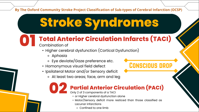### By The Oxford Community Stroke Project Classification of Sub-types of Cerebral Infarction (OCSP)

# **Stroke Syndromes**

# **01 Total Anterior Circulation Infarcts (TACI)**

- Combination of
	- Higher cerebral dysfunction (Cortical Dysfunction)
		- ⚬ Aphasia
		- ⚬ Eye deviate/Gaze preference etc.
	- Homonymous visual field defect
	- Ipsilateral Motor and/or Sensory deficit
		- ⚬ At least two areas; face, arm and leg

## **02 Partial Anterior Circulation (PACI)**

- Only 2 of 3 components of a TACI
	- or Higher cerebral dysfunction alone
	- Motor/Sensory deficit more resticed than those classified as Lacunar infarctions

Conscious drop

⚬ Confined to one limb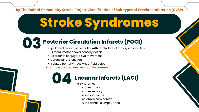By The Oxford Community Stroke Project Classification of Sub-types of Cerebral Infarction (OCSP)

# **Stroke Syndromes**

# **03 Posterior Circulation Infarcts (POCI)**

- Ipsilateral cranial nerve palsy with Contralateral motor/sensory deficit
- Bilateral motor and/or sensory deficit
- Disorder of conjugate eye movement
- Cerebellar dysfunction
- Isolated homonymous visual field defect

Alteration of consciousness is quite common

## **04 Lacunar Infarcts (LACI)**

5 Syndromes

- A pure motor
- A pure sensory
- A sensori-motor
- An ataxic hemiparesis
- A dysarthria-clumpsy hand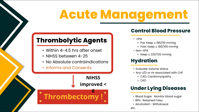# **Acute Management**

# **Thrombolytic Agents**

- Within 4-4.5 hrs after onset
- NIHSS between 4-25
- No Absolute contraindications

Thrombectomy !

• Informs and Consents

**NIHSS** improved <

6

### **Control Blood Pressure**

- rtPA
	- ⚬ Pre: Keep ≦ 185/110 mmHg
	- ⚬ Post: Keep ≦ 180/105 mmHg
- Non-rtPA
	- ⚬ Keep ≦ 220/120 mmHg

### **Hydration**

- Evaluate Volume status
- Any U/D or Hx associated with CHF

⚬ CAD, Cardiomyopathy

⚬ CKD

## **Under Lying Diseases**

- Blood Sugar : Monitor blood sugar
- BPH : Retained Foley
- Alcoholism : Withdrawal

etc.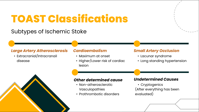# **TOAST Classifications**

## Subtypes of Ischemic Stoke

### *Large Artery Atherosclerosis Cardioembolism Small Artery Occlusion*

• Extracranial/Intracranail disease



- Maximum at onset
- Higher/Lower risk of cardiac lesion

- Lacunar syndrome
- Long standing hypertension

- Non-atherosclerotic Vasculopathies
- Prothrombotic disorders

### *Other determined cause Undetermined Causes*

• Cryptogenics (After everything has been evaluated)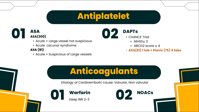# **Antiplatelet**

## **ASA ASA DAPTS CHAN CHAN CHAN CHAN CHAN** ASA(300)

- Acute + Large vessel not suspicious
- Acute Lacunar syndrome ASA (81)
	- Acute + Suspicious of Large vessels

**02**

- CHANCE Trial
	- ⚬ NIHSS≦ 3
	- ⚬ ABCD2 score ≧ 4
- $\cdot$  ASA(81) 1 tab + Plavix (75) 4 tabs

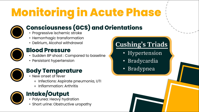# **Monitoring in Acute Phase**



# **Consciousness (GCS) and Orientations**

- Progressive ischemic stroke
- Hemorrhagic transformation
- 



### **Blood Pressure**

- Sudden BP shoot : Compared to baseline
- Persistant hypertension



## **Body Temperature**

- New onset of fever
	- ⚬ Infections: Aspirate pneumonia, UTI
	- ⚬ Inflammation: Arthritis



# **Intake/Output**

- Polyurea: Heavy hydration
- Short urine: Obstructive uropathy

# • Delirium, Alcohol withdrawal **Cushing's Triads**

- Hypertension
- Bradycardia
- Bradypnea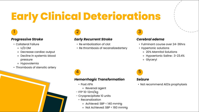# **Early Clinical Deteriorations**

# 1 and  $\overline{2}$  3 and 3 and 3 and 3 and 3 and 3 and 3 and 3 and 3 and 3 and 3 and 3 and 3 and 3 and 3 and 3 and 3 and 3 and 3 and 3 and 3 and 3 and 3 and 3 and 3 and 3 and 3 and 3 and 3 and 3 and 3 and 3 and 3 and 3 and 3

- Collateral Failure
	- ⚬ U/D DM
	- ⚬ Decrease cardiac output
	- ⚬ Decline in systemic blood pressure
	- ⚬ Hypovolemia
- Thrombosis of stenotic artery

### *Progressive Stroke Early Recurrent Stroke Cerebral edema*

- Re embolization of clot
- Re thrombosis of recanalizedartery

- Fulminant course over 24-36hrs
- Hypertonic solutions
	- ⚬ 20% Mannitol Solutions
	- ⚬ Hypoertonic Saline : 3-23.4%
	- ⚬ Glyceryl

 $\overline{4}$   $\overline{5}$ 

### *Hemorrhagic Transformation Seizure*

- Post rtPA
	- ⚬ Reversal agent
- FFP 10-12ml/kg
- Cryoprecipitate 10 units
	- Recanalization
		- ⚬ Achieved: SBP < 140 mmHg
		- ⚬ Not Achieved: SBP < 160 mmHg

• Not recommend AEDs prophylaxis